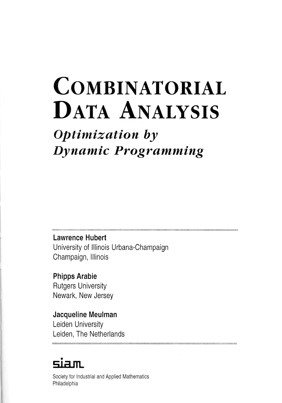# **COMBINATORIAL** DATA ANALYSIS

## *Optimization by Dynamic Programming*

**Lawrence Hubert**  University of Illinois Urbana-Champaign Champaign, Illinois

**Phipps Arabie**  Rutgers University Newark, New Jersey

### **Jacqueline Meulman**  Leiden University Leiden, The Netherlands

## **qirim.**

Society for Industrial and Applied Mathematics Philadelphia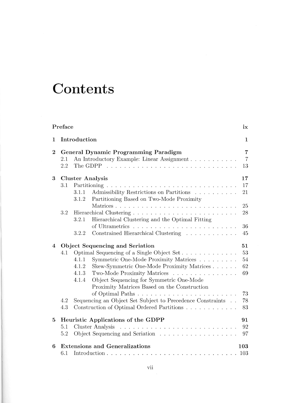# **Contents**

|                                                      | Preface                                      |                                                                                                        | ix                   |  |  |
|------------------------------------------------------|----------------------------------------------|--------------------------------------------------------------------------------------------------------|----------------------|--|--|
| 1                                                    | Introduction<br>1                            |                                                                                                        |                      |  |  |
| $\mathbf{2}$<br>General Dynamic Programming Paradigm |                                              |                                                                                                        |                      |  |  |
|                                                      | 2.1<br>2.2                                   | An Introductory Example: Linear Assignment                                                             | $\overline{7}$<br>13 |  |  |
| 3                                                    | <b>Cluster Analysis</b>                      |                                                                                                        |                      |  |  |
|                                                      | 3.1                                          |                                                                                                        |                      |  |  |
|                                                      |                                              | Admissibility Restrictions on Partitions<br>3.1.1<br>Partitioning Based on Two-Mode Proximity<br>3.1.2 | 21                   |  |  |
|                                                      |                                              |                                                                                                        | 25                   |  |  |
|                                                      | 3.2                                          | 3.2.1<br>Hierarchical Clustering and the Optimal Fitting                                               | 28                   |  |  |
|                                                      |                                              |                                                                                                        | 36                   |  |  |
|                                                      |                                              | Constrained Hierarchical Clustering<br>3.2.2                                                           | 45                   |  |  |
| 4                                                    | Object Sequencing and Seriation<br>51        |                                                                                                        |                      |  |  |
|                                                      | 4.1                                          | Optimal Sequencing of a Single Object Set                                                              | 53                   |  |  |
|                                                      |                                              | 4.1.1<br>Symmetric One-Mode Proximity Matrices                                                         | 54                   |  |  |
|                                                      |                                              | Skew-Symmetric One-Mode Proximity Matrices<br>4.1.2                                                    | 62                   |  |  |
|                                                      |                                              | Two-Mode Proximity Matrices<br>4.1.3                                                                   | 69                   |  |  |
|                                                      |                                              | Object Sequencing for Symmetric One-Mode<br>4.1.4<br>Proximity Matrices Based on the Construction      |                      |  |  |
|                                                      |                                              |                                                                                                        | 73                   |  |  |
|                                                      | 4.2                                          | Sequencing an Object Set Subject to Precedence Constraints                                             | 78                   |  |  |
|                                                      | 4.3                                          | Construction of Optimal Ordered Partitions                                                             | 83                   |  |  |
| 5                                                    | Heuristic Applications of the GDPP<br>91     |                                                                                                        |                      |  |  |
|                                                      | 5.1                                          | Cluster Analysis                                                                                       | 92                   |  |  |
|                                                      | 5.2                                          |                                                                                                        | 97                   |  |  |
| 6                                                    | <b>Extensions and Generalizations</b><br>103 |                                                                                                        |                      |  |  |
|                                                      | 6.1                                          |                                                                                                        | 103                  |  |  |